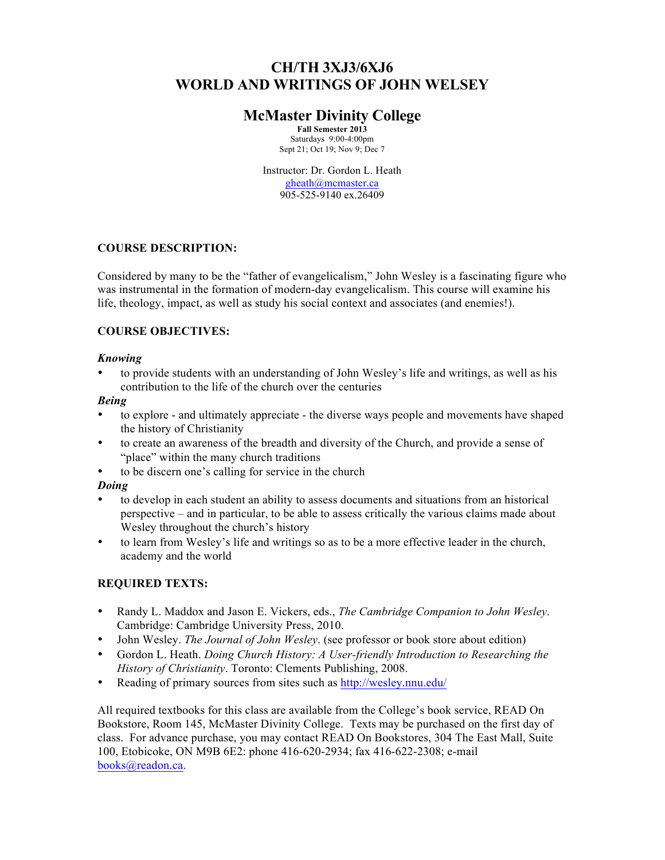# **CH/TH 3XJ3/6XJ6 WORLD AND WRITINGS OF JOHN WELSEY**

# **McMaster Divinity College**

**Fall Semester 2013** Saturdays 9:00-4:00pm Sept 21; Oct 19; Nov 9; Dec 7

Instructor: Dr. Gordon L. Heath gheath@mcmaster.ca 905-525-9140 ex.26409

# **COURSE DESCRIPTION:**

Considered by many to be the "father of evangelicalism," John Wesley is a fascinating figure who was instrumental in the formation of modern-day evangelicalism. This course will examine his life, theology, impact, as well as study his social context and associates (and enemies!).

# **COURSE OBJECTIVES:**

### *Knowing*

• to provide students with an understanding of John Wesley's life and writings, as well as his contribution to the life of the church over the centuries

### *Being*

- to explore and ultimately appreciate the diverse ways people and movements have shaped the history of Christianity
- to create an awareness of the breadth and diversity of the Church, and provide a sense of "place" within the many church traditions
- to be discern one's calling for service in the church

### *Doing*

- to develop in each student an ability to assess documents and situations from an historical perspective – and in particular, to be able to assess critically the various claims made about Wesley throughout the church's history
- to learn from Wesley's life and writings so as to be a more effective leader in the church, academy and the world

# **REQUIRED TEXTS:**

- Randy L. Maddox and Jason E. Vickers, eds., *The Cambridge Companion to John Wesley*. Cambridge: Cambridge University Press, 2010.
- John Wesley. *The Journal of John Wesley*. (see professor or book store about edition)
- Gordon L. Heath. *Doing Church History: A User-friendly Introduction to Researching the History of Christianity*. Toronto: Clements Publishing, 2008.
- Reading of primary sources from sites such as http://wesley.nnu.edu/

All required textbooks for this class are available from the College's book service, READ On Bookstore, Room 145, McMaster Divinity College. Texts may be purchased on the first day of class. For advance purchase, you may contact READ On Bookstores, 304 The East Mall, Suite 100, Etobicoke, ON M9B 6E2: phone 416-620-2934; fax 416-622-2308; e-mail books@readon.ca.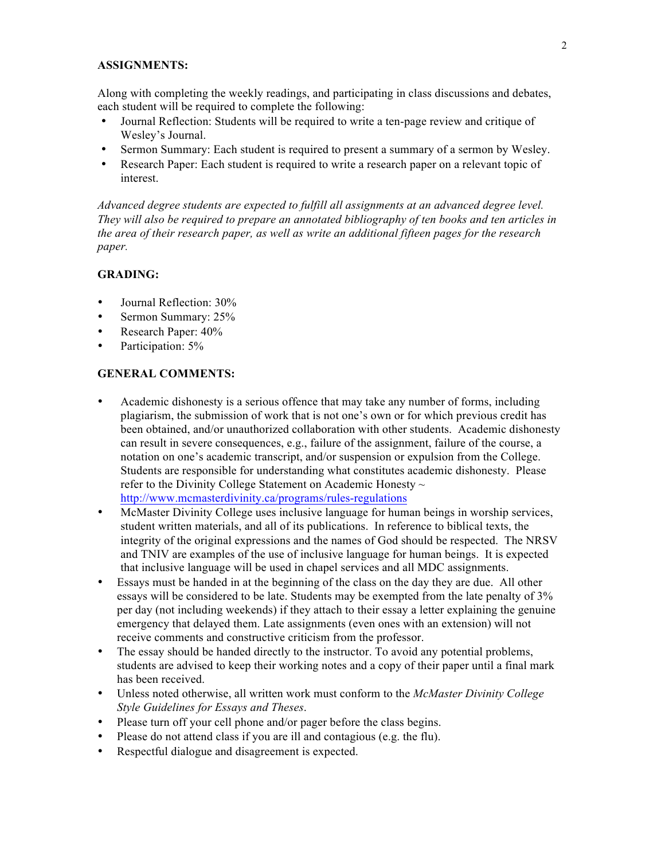### **ASSIGNMENTS:**

Along with completing the weekly readings, and participating in class discussions and debates, each student will be required to complete the following:

- Journal Reflection: Students will be required to write a ten-page review and critique of Wesley's Journal.
- Sermon Summary: Each student is required to present a summary of a sermon by Wesley.
- Research Paper: Each student is required to write a research paper on a relevant topic of interest.

*Advanced degree students are expected to fulfill all assignments at an advanced degree level. They will also be required to prepare an annotated bibliography of ten books and ten articles in the area of their research paper, as well as write an additional fifteen pages for the research paper.*

#### **GRADING:**

- Journal Reflection: 30%
- Sermon Summary: 25%
- Research Paper:  $40\%$
- Participation: 5%

#### **GENERAL COMMENTS:**

- Academic dishonesty is a serious offence that may take any number of forms, including plagiarism, the submission of work that is not one's own or for which previous credit has been obtained, and/or unauthorized collaboration with other students. Academic dishonesty can result in severe consequences, e.g., failure of the assignment, failure of the course, a notation on one's academic transcript, and/or suspension or expulsion from the College. Students are responsible for understanding what constitutes academic dishonesty. Please refer to the Divinity College Statement on Academic Honesty  $\sim$ http://www.mcmasterdivinity.ca/programs/rules-regulations
- McMaster Divinity College uses inclusive language for human beings in worship services, student written materials, and all of its publications. In reference to biblical texts, the integrity of the original expressions and the names of God should be respected. The NRSV and TNIV are examples of the use of inclusive language for human beings. It is expected that inclusive language will be used in chapel services and all MDC assignments.
- Essays must be handed in at the beginning of the class on the day they are due. All other essays will be considered to be late. Students may be exempted from the late penalty of 3% per day (not including weekends) if they attach to their essay a letter explaining the genuine emergency that delayed them. Late assignments (even ones with an extension) will not receive comments and constructive criticism from the professor.
- The essay should be handed directly to the instructor. To avoid any potential problems, students are advised to keep their working notes and a copy of their paper until a final mark has been received.
- Unless noted otherwise, all written work must conform to the *McMaster Divinity College Style Guidelines for Essays and Theses*.
- Please turn off your cell phone and/or pager before the class begins.
- Please do not attend class if you are ill and contagious (e.g. the flu).
- Respectful dialogue and disagreement is expected.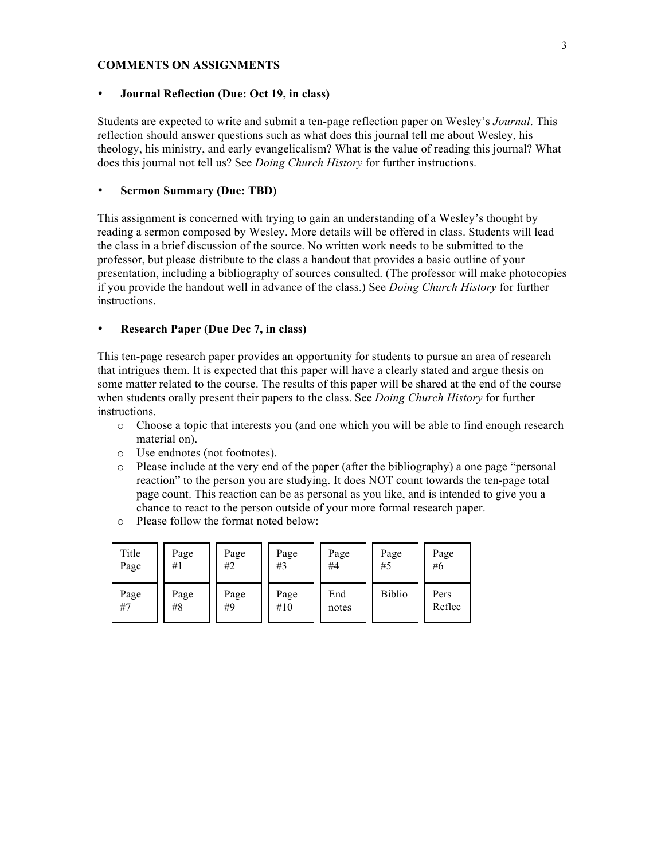#### **COMMENTS ON ASSIGNMENTS**

#### • **Journal Reflection (Due: Oct 19, in class)**

Students are expected to write and submit a ten-page reflection paper on Wesley's *Journal*. This reflection should answer questions such as what does this journal tell me about Wesley, his theology, his ministry, and early evangelicalism? What is the value of reading this journal? What does this journal not tell us? See *Doing Church History* for further instructions.

#### • **Sermon Summary (Due: TBD)**

This assignment is concerned with trying to gain an understanding of a Wesley's thought by reading a sermon composed by Wesley. More details will be offered in class. Students will lead the class in a brief discussion of the source. No written work needs to be submitted to the professor, but please distribute to the class a handout that provides a basic outline of your presentation, including a bibliography of sources consulted. (The professor will make photocopies if you provide the handout well in advance of the class.) See *Doing Church History* for further instructions.

#### • **Research Paper (Due Dec 7, in class)**

This ten-page research paper provides an opportunity for students to pursue an area of research that intrigues them. It is expected that this paper will have a clearly stated and argue thesis on some matter related to the course. The results of this paper will be shared at the end of the course when students orally present their papers to the class. See *Doing Church History* for further instructions.

- o Choose a topic that interests you (and one which you will be able to find enough research material on).
- o Use endnotes (not footnotes).
- o Please include at the very end of the paper (after the bibliography) a one page "personal reaction" to the person you are studying. It does NOT count towards the ten-page total page count. This reaction can be as personal as you like, and is intended to give you a chance to react to the person outside of your more formal research paper.
- o Please follow the format noted below:

| Title | Page | Page | Page | Page  | Page          | Page   |
|-------|------|------|------|-------|---------------|--------|
| Page  | #1   | #2   | #3   | #4    | #5            | #6     |
| Page  | Page | Page | Page | End   | <b>Biblio</b> | Pers   |
| #7    | #8   | #9   | #10  | notes |               | Reflec |